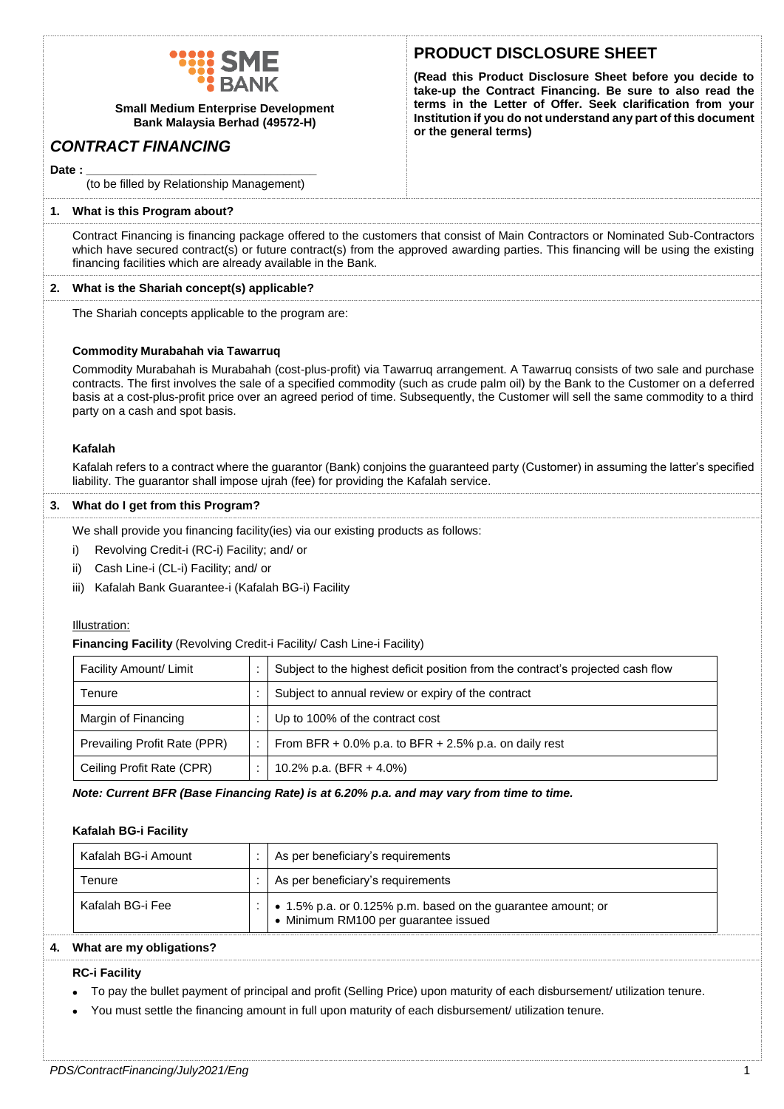

#### **Small Medium Enterprise Development Bank Malaysia Berhad (49572-H)**

# *CONTRACT FINANCING*

## **Date : \_\_\_\_\_\_\_\_\_\_\_\_\_\_\_\_\_\_\_\_\_\_\_\_\_\_\_\_\_\_\_\_\_\_\_**

(to be filled by Relationship Management)

## **1. What is this Program about?**

Contract Financing is financing package offered to the customers that consist of Main Contractors or Nominated Sub-Contractors which have secured contract(s) or future contract(s) from the approved awarding parties. This financing will be using the existing financing facilities which are already available in the Bank.

## **2. What is the Shariah concept(s) applicable?**

The Shariah concepts applicable to the program are:

## **Commodity Murabahah via Tawarruq**

Commodity Murabahah is Murabahah (cost-plus-profit) via Tawarruq arrangement. A Tawarruq consists of two sale and purchase contracts. The first involves the sale of a specified commodity (such as crude palm oil) by the Bank to the Customer on a deferred basis at a cost-plus-profit price over an agreed period of time. Subsequently, the Customer will sell the same commodity to a third party on a cash and spot basis.

## **Kafalah**

Kafalah refers to a contract where the guarantor (Bank) conjoins the guaranteed party (Customer) in assuming the latter's specified liability. The guarantor shall impose ujrah (fee) for providing the Kafalah service.

## **3. What do I get from this Program?**

We shall provide you financing facility(ies) via our existing products as follows:

- i) Revolving Credit-i (RC-i) Facility; and/ or
- ii) Cash Line-i (CL-i) Facility; and/ or
- iii) Kafalah Bank Guarantee-i (Kafalah BG-i) Facility

#### Illustration:

**Financing Facility** (Revolving Credit-i Facility/ Cash Line-i Facility)

| <b>Facility Amount/ Limit</b> | Subject to the highest deficit position from the contract's projected cash flow |
|-------------------------------|---------------------------------------------------------------------------------|
| Tenure                        | Subject to annual review or expiry of the contract                              |
| Margin of Financing           | Up to 100% of the contract cost                                                 |
| Prevailing Profit Rate (PPR)  | From BFR $+$ 0.0% p.a. to BFR $+$ 2.5% p.a. on daily rest                       |
| Ceiling Profit Rate (CPR)     | 10.2% p.a. (BFR + 4.0%)                                                         |

*Note: Current BFR (Base Financing Rate) is at 6.20% p.a. and may vary from time to time.*

#### **Kafalah BG-i Facility**

| Kafalah BG-i Amount | As per beneficiary's requirements                                                                    |  |
|---------------------|------------------------------------------------------------------------------------------------------|--|
| Tenure              | As per beneficiary's requirements                                                                    |  |
| Kafalah BG-i Fee    | • 1.5% p.a. or 0.125% p.m. based on the guarantee amount; or<br>• Minimum RM100 per guarantee issued |  |

#### **4. What are my obligations?**

## **RC-i Facility**

- To pay the bullet payment of principal and profit (Selling Price) upon maturity of each disbursement/ utilization tenure.
- You must settle the financing amount in full upon maturity of each disbursement/ utilization tenure.

## **PRODUCT DISCLOSURE SHEET**

**(Read this Product Disclosure Sheet before you decide to take-up the Contract Financing. Be sure to also read the terms in the Letter of Offer. Seek clarification from your Institution if you do not understand any part of this document or the general terms)**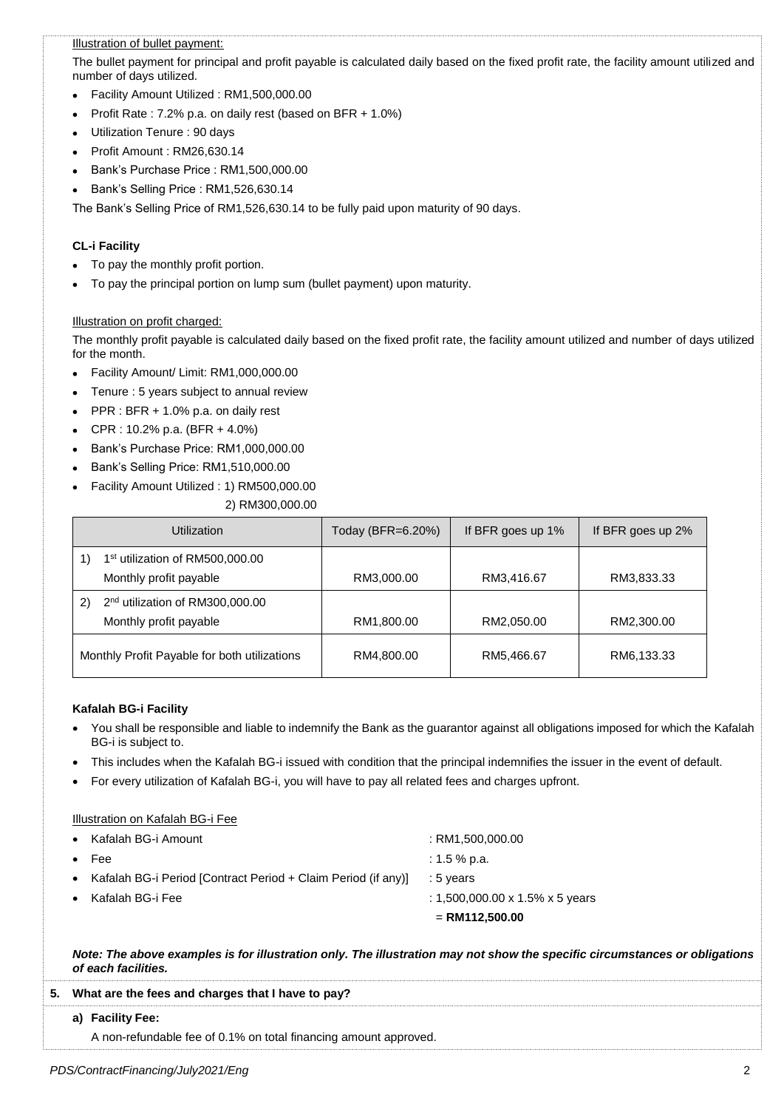## Illustration of bullet payment:

The bullet payment for principal and profit payable is calculated daily based on the fixed profit rate, the facility amount utilized and number of days utilized.

- Facility Amount Utilized : RM1,500,000.00
- Profit Rate : 7.2% p.a. on daily rest (based on BFR + 1.0%)
- Utilization Tenure : 90 days
- Profit Amount : RM26,630.14
- Bank's Purchase Price : RM1,500,000.00
- Bank's Selling Price : RM1,526,630.14

The Bank's Selling Price of RM1,526,630.14 to be fully paid upon maturity of 90 days.

## **CL-i Facility**

- To pay the monthly profit portion.
- To pay the principal portion on lump sum (bullet payment) upon maturity.

## Illustration on profit charged:

The monthly profit payable is calculated daily based on the fixed profit rate, the facility amount utilized and number of days utilized for the month.

- Facility Amount/ Limit: RM1,000,000.00
- Tenure : 5 years subject to annual review
- PPR : BFR + 1.0% p.a. on daily rest
- CPR : 10.2% p.a. (BFR + 4.0%)
- Bank's Purchase Price: RM1,000,000.00
- Bank's Selling Price: RM1,510,000.00
- Facility Amount Utilized : 1) RM500,000.00
	- 2) RM300,000.00

|              | Utilization                                                           | Today (BFR=6.20%) | If BFR goes up 1% | If BFR goes up 2% |
|--------------|-----------------------------------------------------------------------|-------------------|-------------------|-------------------|
| 1)           | 1 <sup>st</sup> utilization of RM500,000.00<br>Monthly profit payable | RM3,000.00        | RM3,416.67        | RM3,833.33        |
| $\mathbf{2}$ | 2 <sup>nd</sup> utilization of RM300,000.00<br>Monthly profit payable | RM1,800.00        | RM2,050.00        | RM2,300.00        |
|              | Monthly Profit Payable for both utilizations                          | RM4,800.00        | RM5.466.67        | RM6,133.33        |

## **Kafalah BG-i Facility**

- You shall be responsible and liable to indemnify the Bank as the guarantor against all obligations imposed for which the Kafalah BG-i is subject to.
- This includes when the Kafalah BG-i issued with condition that the principal indemnifies the issuer in the event of default.
- For every utilization of Kafalah BG-i, you will have to pay all related fees and charges upfront.

## Illustration on Kafalah BG-i Fee

| • Kafalah BG-i Amount                                           | : RM1,500,000.00                |
|-----------------------------------------------------------------|---------------------------------|
| $\bullet$ Fee                                                   | : 1.5 % p.a.                    |
| • Kafalah BG-i Period [Contract Period + Claim Period (if any)] | $:5$ years                      |
| • Kafalah BG-i Fee                                              | : 1,500,000.00 x 1.5% x 5 years |
|                                                                 | $=$ RM112,500.00                |

*Note: The above examples is for illustration only. The illustration may not show the specific circumstances or obligations of each facilities.*

**5. What are the fees and charges that I have to pay?**

#### **a) Facility Fee:**

A non-refundable fee of 0.1% on total financing amount approved.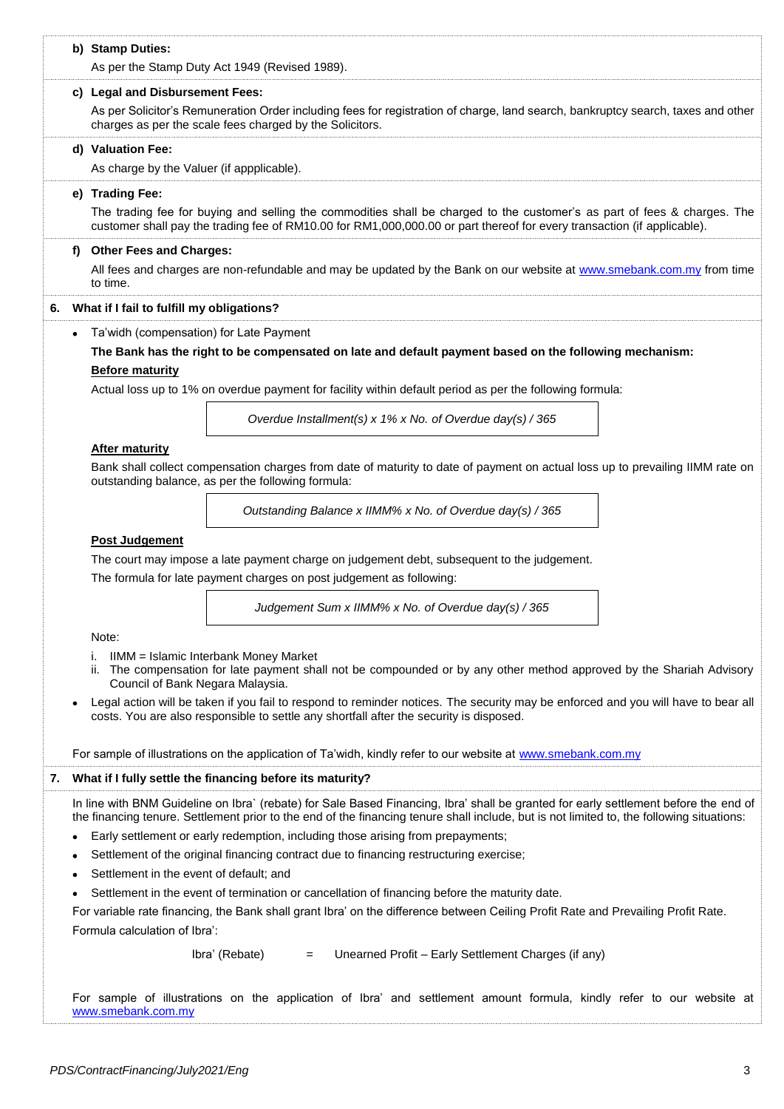|    |    | b) Stamp Duties:<br>As per the Stamp Duty Act 1949 (Revised 1989).                                                                                                                                                                                                                                                                                                                                                                                                                 |  |  |  |
|----|----|------------------------------------------------------------------------------------------------------------------------------------------------------------------------------------------------------------------------------------------------------------------------------------------------------------------------------------------------------------------------------------------------------------------------------------------------------------------------------------|--|--|--|
|    |    | c) Legal and Disbursement Fees:<br>As per Solicitor's Remuneration Order including fees for registration of charge, land search, bankruptcy search, taxes and other<br>charges as per the scale fees charged by the Solicitors.<br>d) Valuation Fee:<br>As charge by the Valuer (if appplicable).                                                                                                                                                                                  |  |  |  |
|    |    |                                                                                                                                                                                                                                                                                                                                                                                                                                                                                    |  |  |  |
|    |    |                                                                                                                                                                                                                                                                                                                                                                                                                                                                                    |  |  |  |
|    |    |                                                                                                                                                                                                                                                                                                                                                                                                                                                                                    |  |  |  |
|    |    | e) Trading Fee:                                                                                                                                                                                                                                                                                                                                                                                                                                                                    |  |  |  |
|    |    | The trading fee for buying and selling the commodities shall be charged to the customer's as part of fees & charges. The<br>customer shall pay the trading fee of RM10.00 for RM1,000,000.00 or part thereof for every transaction (if applicable).                                                                                                                                                                                                                                |  |  |  |
|    | f) | <b>Other Fees and Charges:</b><br>All fees and charges are non-refundable and may be updated by the Bank on our website at www.smebank.com.my from time<br>to time.                                                                                                                                                                                                                                                                                                                |  |  |  |
| 6. |    | What if I fail to fulfill my obligations?                                                                                                                                                                                                                                                                                                                                                                                                                                          |  |  |  |
|    | ٠  | Ta'widh (compensation) for Late Payment                                                                                                                                                                                                                                                                                                                                                                                                                                            |  |  |  |
|    |    | The Bank has the right to be compensated on late and default payment based on the following mechanism:                                                                                                                                                                                                                                                                                                                                                                             |  |  |  |
|    |    | <b>Before maturity</b>                                                                                                                                                                                                                                                                                                                                                                                                                                                             |  |  |  |
|    |    | Actual loss up to 1% on overdue payment for facility within default period as per the following formula:                                                                                                                                                                                                                                                                                                                                                                           |  |  |  |
|    |    | Overdue Installment(s) x 1% x No. of Overdue day(s) / 365                                                                                                                                                                                                                                                                                                                                                                                                                          |  |  |  |
|    |    | <b>After maturity</b>                                                                                                                                                                                                                                                                                                                                                                                                                                                              |  |  |  |
|    |    | Bank shall collect compensation charges from date of maturity to date of payment on actual loss up to prevailing IIMM rate on<br>outstanding balance, as per the following formula:                                                                                                                                                                                                                                                                                                |  |  |  |
|    |    |                                                                                                                                                                                                                                                                                                                                                                                                                                                                                    |  |  |  |
|    |    | Outstanding Balance x IIMM% x No. of Overdue day(s) / 365                                                                                                                                                                                                                                                                                                                                                                                                                          |  |  |  |
|    |    | <b>Post Judgement</b><br>The court may impose a late payment charge on judgement debt, subsequent to the judgement.<br>The formula for late payment charges on post judgement as following:                                                                                                                                                                                                                                                                                        |  |  |  |
|    |    | Judgement Sum x IIMM% x No. of Overdue day(s) / 365                                                                                                                                                                                                                                                                                                                                                                                                                                |  |  |  |
|    |    | Note:                                                                                                                                                                                                                                                                                                                                                                                                                                                                              |  |  |  |
|    |    | IIMM = Islamic Interbank Money Market                                                                                                                                                                                                                                                                                                                                                                                                                                              |  |  |  |
|    |    | Council of Bank Negara Malaysia.<br>costs. You are also responsible to settle any shortfall after the security is disposed.                                                                                                                                                                                                                                                                                                                                                        |  |  |  |
|    |    | For sample of illustrations on the application of Ta'widh, kindly refer to our website at www.smebank.com.my                                                                                                                                                                                                                                                                                                                                                                       |  |  |  |
|    |    | 7. What if I fully settle the financing before its maturity?                                                                                                                                                                                                                                                                                                                                                                                                                       |  |  |  |
|    |    | the financing tenure. Settlement prior to the end of the financing tenure shall include, but is not limited to, the following situations:                                                                                                                                                                                                                                                                                                                                          |  |  |  |
|    |    | Early settlement or early redemption, including those arising from prepayments;                                                                                                                                                                                                                                                                                                                                                                                                    |  |  |  |
|    |    | Settlement of the original financing contract due to financing restructuring exercise;                                                                                                                                                                                                                                                                                                                                                                                             |  |  |  |
|    |    | Settlement in the event of default; and                                                                                                                                                                                                                                                                                                                                                                                                                                            |  |  |  |
|    |    | Settlement in the event of termination or cancellation of financing before the maturity date.                                                                                                                                                                                                                                                                                                                                                                                      |  |  |  |
|    |    | For variable rate financing, the Bank shall grant Ibra' on the difference between Ceiling Profit Rate and Prevailing Profit Rate.                                                                                                                                                                                                                                                                                                                                                  |  |  |  |
|    |    | Formula calculation of Ibra':                                                                                                                                                                                                                                                                                                                                                                                                                                                      |  |  |  |
|    |    | ii. The compensation for late payment shall not be compounded or by any other method approved by the Shariah Advisory<br>Legal action will be taken if you fail to respond to reminder notices. The security may be enforced and you will have to bear all<br>In line with BNM Guideline on Ibra` (rebate) for Sale Based Financing, Ibra' shall be granted for early settlement before the end of<br>Ibra' (Rebate)<br>Unearned Profit - Early Settlement Charges (if any)<br>$=$ |  |  |  |